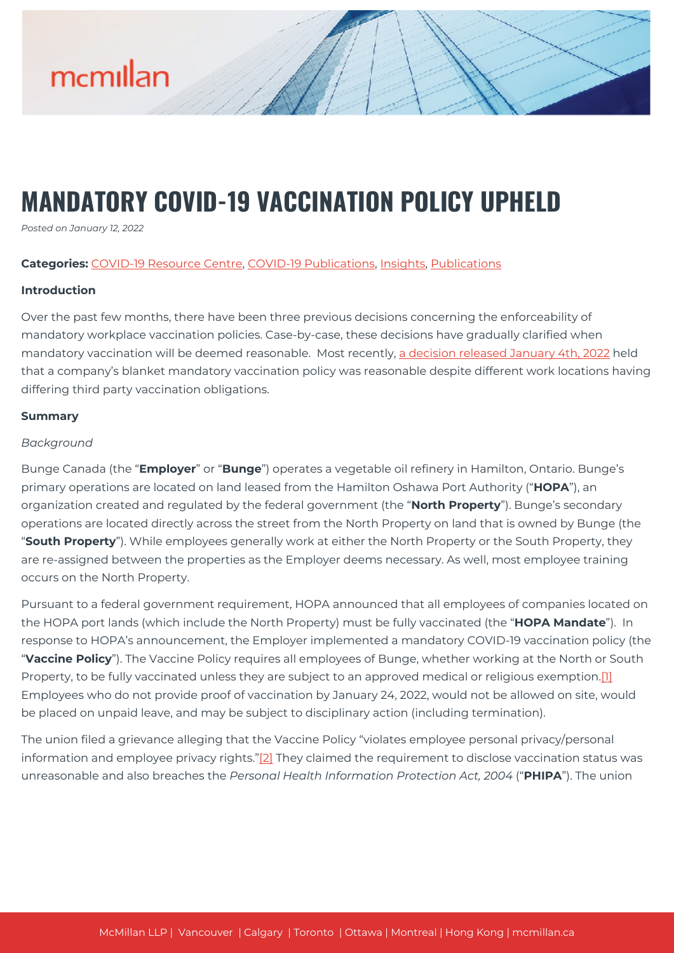

# **MANDATORY COVID-19 VACCINATION POLICY UPHELD**

*Posted on January 12, 2022*

#### **Categories:** [COVID-19 Resource Centre](https://mcmillan.ca/covid-19-resource-centre/), [COVID-19 Publications](https://mcmillan.ca/covid-19-resource-centre/covid-19-publications/), [Insights,](https://mcmillan.ca/insights/) [Publications](https://mcmillan.ca/insights/publications/)

#### **Introduction**

Over the past few months, there have been three previous decisions concerning the enforceability of mandatory workplace vaccination policies. Case-by-case, these decisions have gradually clarified when mandatory vaccination will be deemed reasonable. Most recently, [a decision released January 4th, 2022](https://mcmillan.ca/wp-content/uploads/2022/01/Bunge.UFCW_.Vaccine.Jan4_.22.dec_.pdf) held that a company's blanket mandatory vaccination policy was reasonable despite different work locations having differing third party vaccination obligations.

#### **Summary**

#### *Background*

Bunge Canada (the "**Employer**" or "**Bunge**") operates a vegetable oil refinery in Hamilton, Ontario. Bunge's primary operations are located on land leased from the Hamilton Oshawa Port Authority ("**HOPA**"), an organization created and regulated by the federal government (the "**North Property**"). Bunge's secondary operations are located directly across the street from the North Property on land that is owned by Bunge (the "**South Property**"). While employees generally work at either the North Property or the South Property, they are re-assigned between the properties as the Employer deems necessary. As well, most employee training occurs on the North Property.

Pursuant to a federal government requirement, HOPA announced that all employees of companies located on the HOPA port lands (which include the North Property) must be fully vaccinated (the "**HOPA Mandate**"). In response to HOPA's announcement, the Employer implemented a mandatory COVID-19 vaccination policy (the "**Vaccine Policy**"). The Vaccine Policy requires all employees of Bunge, whether working at the North or South Property, to be fully vaccinated unless they are subject to an approved medical or religious exemption[.\[1\]](#page--1-0) Employees who do not provide proof of vaccination by January 24, 2022, would not be allowed on site, would be placed on unpaid leave, and may be subject to disciplinary action (including termination).

The union filed a grievance alleging that the Vaccine Policy "violates employee personal privacy/personal information and employee privacy rights.["\[2\]](#page--1-0) They claimed the requirement to disclose vaccination status was unreasonable and also breaches the *Personal Health Information Protection Act, 2004* ("**PHIPA**"). The union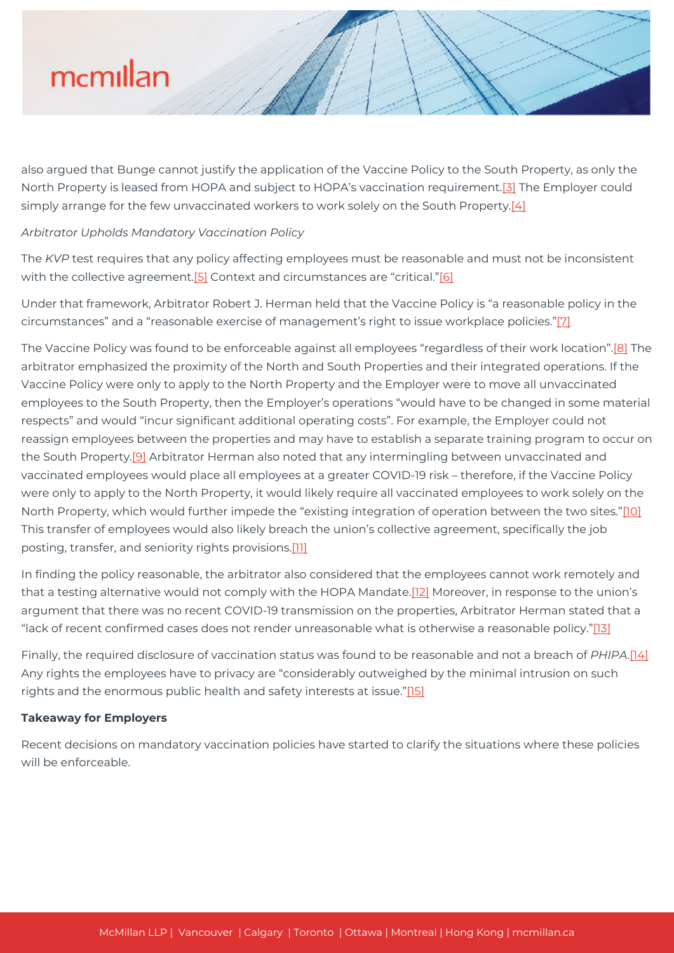# mcmillan

also argued that Bunge cannot justify the application of the Vaccine Policy to the South Property, as only the North Property is leased from HOPA and subject to HOPA's vaccination requirement.<sup>[3]</sup> The Employer could simply arrange for the few unvaccinated workers to work solely on the South Property.[\[4\]](#page--1-0)

### *Arbitrator Upholds Mandatory Vaccination Policy*

The *KVP* test requires that any policy affecting employees must be reasonable and must not be inconsistent with the collective agreement.<sup>[5]</sup> Context and circumstances are "critical."<sup>[6]</sup>

Under that framework, Arbitrator Robert J. Herman held that the Vaccine Policy is "a reasonable policy in the circumstances" and a "reasonable exercise of management's right to issue workplace policies."[\[7\]](#page--1-0)

The Vaccine Policy was found to be enforceable against all employees "regardless of their work location".[\[8\]](#page--1-0) The arbitrator emphasized the proximity of the North and South Properties and their integrated operations. If the Vaccine Policy were only to apply to the North Property and the Employer were to move all unvaccinated employees to the South Property, then the Employer's operations "would have to be changed in some material respects" and would "incur significant additional operating costs". For example, the Employer could not reassign employees between the properties and may have to establish a separate training program to occur on the South Property.<sup>[\[9\]](#page--1-0)</sup> Arbitrator Herman also noted that any intermingling between unvaccinated and vaccinated employees would place all employees at a greater COVID-19 risk – therefore, if the Vaccine Policy were only to apply to the North Property, it would likely require all vaccinated employees to work solely on the North Property, which would further impede the "existing integration of operation between the two sites.["\[10\]](#page--1-0) This transfer of employees would also likely breach the union's collective agreement, specifically the job posting, transfer, and seniority rights provisions.[\[11\]](#page--1-0)

In finding the policy reasonable, the arbitrator also considered that the employees cannot work remotely and that a testing alternative would not comply with the HOPA Mandate.[\[12\]](#page--1-0) Moreover, in response to the union's argument that there was no recent COVID-19 transmission on the properties, Arbitrator Herman stated that a "lack of recent confirmed cases does not render unreasonable what is otherwise a reasonable policy.["\[13\]](#page--1-0)

Finally, the required disclosure of vaccination status was found to be reasonable and not a breach of *PHIPA*[.\[14\]](#page--1-0) Any rights the employees have to privacy are "considerably outweighed by the minimal intrusion on such rights and the enormous public health and safety interests at issue.["\[15\]](#page--1-0)

### **Takeaway for Employers**

Recent decisions on mandatory vaccination policies have started to clarify the situations where these policies will be enforceable.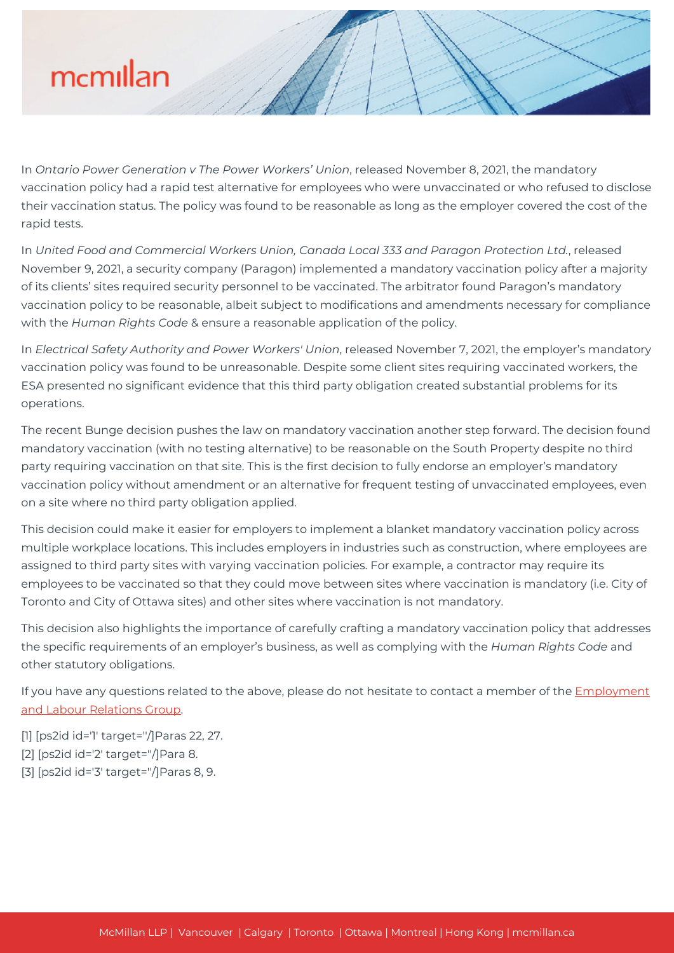

In *Ontario Power Generation v The Power Workers' Union*, released November 8, 2021, the mandatory vaccination policy had a rapid test alternative for employees who were unvaccinated or who refused to disclose their vaccination status. The policy was found to be reasonable as long as the employer covered the cost of the rapid tests.

In *United Food and Commercial Workers Union, Canada Local 333 and Paragon Protection Ltd.*, released November 9, 2021, a security company (Paragon) implemented a mandatory vaccination policy after a majority of its clients' sites required security personnel to be vaccinated. The arbitrator found Paragon's mandatory vaccination policy to be reasonable, albeit subject to modifications and amendments necessary for compliance with the *Human Rights Code* & ensure a reasonable application of the policy.

In *Electrical Safety Authority and Power Workers' Union*, released November 7, 2021, the employer's mandatory vaccination policy was found to be unreasonable. Despite some client sites requiring vaccinated workers, the ESA presented no significant evidence that this third party obligation created substantial problems for its operations.

The recent Bunge decision pushes the law on mandatory vaccination another step forward. The decision found mandatory vaccination (with no testing alternative) to be reasonable on the South Property despite no third party requiring vaccination on that site. This is the first decision to fully endorse an employer's mandatory vaccination policy without amendment or an alternative for frequent testing of unvaccinated employees, even on a site where no third party obligation applied.

This decision could make it easier for employers to implement a blanket mandatory vaccination policy across multiple workplace locations. This includes employers in industries such as construction, where employees are assigned to third party sites with varying vaccination policies. For example, a contractor may require its employees to be vaccinated so that they could move between sites where vaccination is mandatory (i.e. City of Toronto and City of Ottawa sites) and other sites where vaccination is not mandatory.

This decision also highlights the importance of carefully crafting a mandatory vaccination policy that addresses the specific requirements of an employer's business, as well as complying with the *Human Rights Code* and other statutory obligations.

If you have any questions related to the above, please do not hesitate to contact a member of the [Employment](https://mcmillan.ca/expertise/practices/employment-labour-relations/) [and Labour Relations Group.](https://mcmillan.ca/expertise/practices/employment-labour-relations/)

- [1] [ps2id id='1' target=''/]Paras 22, 27.
- [2] [ps2id id='2' target=''/]Para 8.
- [3] [ps2id id='3' target=''/]Paras 8, 9.